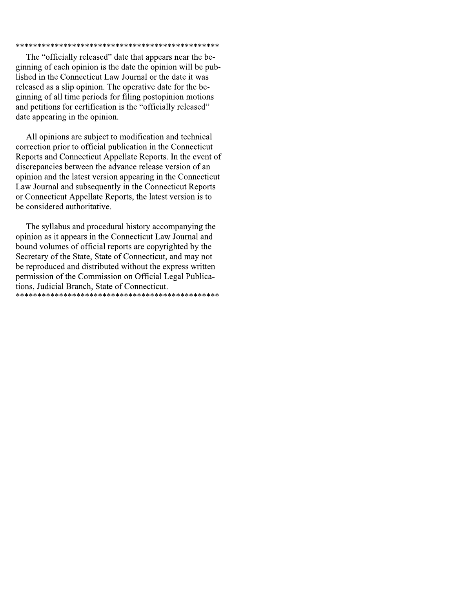## 

The "officially released" date that appears near the beginning of each opinion is the date the opinion will be published in the Connecticut Law Journal or the date it was released as a slip opinion. The operative date for the beginning of all time periods for filing postopinion motions and petitions for certification is the "officially released" date appearing in the opinion.

All opinions are subject to modification and technical correction prior to official publication in the Connecticut Reports and Connecticut Appellate Reports. In the event of discrepancies between the advance release version of an opinion and the latest version appearing in the Connecticut Law Journal and subsequently in the Connecticut Reports or Connecticut Appellate Reports, the latest version is to be considered authoritative.

The syllabus and procedural history accompanying the opinion as it appears in the Connecticut Law Journal and bound volumes of official reports are copyrighted by the Secretary of the State, State of Connecticut, and may not be reproduced and distributed without the express written permission of the Commission on Official Legal Publications, Judicial Branch, State of Connecticut.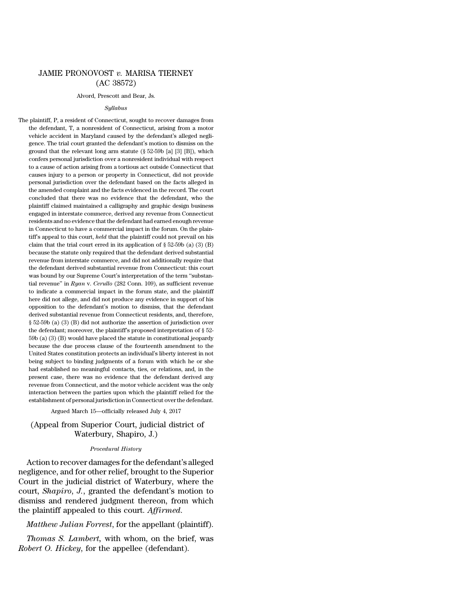# JAMIE PRONOVOST *v.* MARISA TIERNEY (AC 38572)

#### Alvord, Prescott and Bear, Js.

### *Syllabus*

The plaintiff, P, a resident of Connecticut, sought to recover damages from the defendant, T, a nonresident of Connecticut, arising from a motor vehicle accident in Maryland caused by the defendant's alleged negligence. The trial court granted the defendant's motion to dismiss on the ground that the relevant long arm statute (§ 52-59b [a] [3] [B]), which confers personal jurisdiction over a nonresident individual with respect to a cause of action arising from a tortious act outside Connecticut that causes injury to a person or property in Connecticut, did not provide personal jurisdiction over the defendant based on the facts alleged in the amended complaint and the facts evidenced in the record. The court concluded that there was no evidence that the defendant, who the plaintiff claimed maintained a calligraphy and graphic design business engaged in interstate commerce, derived any revenue from Connecticut residents and no evidence that the defendant had earned enough revenue in Connecticut to have a commercial impact in the forum. On the plaintiff's appeal to this court, *held* that the plaintiff could not prevail on his claim that the trial court erred in its application of  $\S 52-59b$  (a) (3) (B) because the statute only required that the defendant derived substantial revenue from interstate commerce, and did not additionally require that the defendant derived substantial revenue from Connecticut: this court was bound by our Supreme Court's interpretation of the term ''substantial revenue'' in *Ryan* v. *Cerullo* (282 Conn. 109), as sufficient revenue to indicate a commercial impact in the forum state, and the plaintiff here did not allege, and did not produce any evidence in support of his opposition to the defendant's motion to dismiss, that the defendant derived substantial revenue from Connecticut residents, and, therefore, § 52-59b (a) (3) (B) did not authorize the assertion of jurisdiction over the defendant; moreover, the plaintiff's proposed interpretation of § 52- 59b (a) (3) (B) would have placed the statute in constitutional jeopardy because the due process clause of the fourteenth amendment to the United States constitution protects an individual's liberty interest in not being subject to binding judgments of a forum with which he or she had established no meaningful contacts, ties, or relations, and, in the present case, there was no evidence that the defendant derived any revenue from Connecticut, and the motor vehicle accident was the only interaction between the parties upon which the plaintiff relied for the establishment of personal jurisdiction inConnecticut overthe defendant.

#### Argued March 15—officially released July 4, 2017

(Appeal from Superior Court, judicial district of Waterbury, Shapiro, J.)

### *Procedural History*

Action to recover damages for the defendant's alleged negligence, and for other relief, brought to the Superior Court in the judicial district of Waterbury, where the court, *Shapiro*, *J.*, granted the defendant's motion to dismiss and rendered judgment thereon, from which the plaintiff appealed to this court. *Affirmed*.

## *Matthew Julian Forrest*, for the appellant (plaintiff).

*Thomas S. Lambert,* with whom, on the brief, was *Robert O. Hickey*, for the appellee (defendant).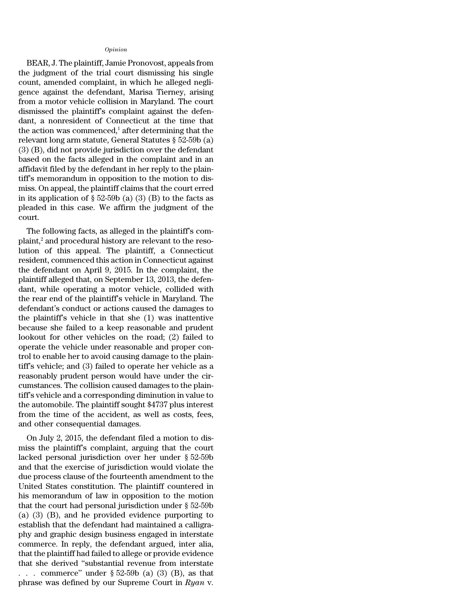## *Opinion*

BEAR, J. The plaintiff, Jamie Pronovost, appeals from the judgment of the trial court dismissing his single count, amended complaint, in which he alleged negligence against the defendant, Marisa Tierney, arising from a motor vehicle collision in Maryland. The court dismissed the plaintiff's complaint against the defendant, a nonresident of Connecticut at the time that the action was commenced, $\frac{1}{1}$  after determining that the relevant long arm statute, General Statutes § 52-59b (a) (3) (B), did not provide jurisdiction over the defendant based on the facts alleged in the complaint and in an affidavit filed by the defendant in her reply to the plaintiff's memorandum in opposition to the motion to dismiss. On appeal, the plaintiff claims that the court erred in its application of  $\S 52-59b$  (a) (3) (B) to the facts as pleaded in this case. We affirm the judgment of the court.

The following facts, as alleged in the plaintiff's com $plaint<sub>i</sub><sup>2</sup>$  and procedural history are relevant to the resolution of this appeal. The plaintiff, a Connecticut resident, commenced this action in Connecticut against the defendant on April 9, 2015. In the complaint, the plaintiff alleged that, on September 13, 2013, the defendant, while operating a motor vehicle, collided with the rear end of the plaintiff's vehicle in Maryland. The defendant's conduct or actions caused the damages to the plaintiff's vehicle in that she (1) was inattentive because she failed to a keep reasonable and prudent lookout for other vehicles on the road; (2) failed to operate the vehicle under reasonable and proper control to enable her to avoid causing damage to the plaintiff's vehicle; and (3) failed to operate her vehicle as a reasonably prudent person would have under the circumstances. The collision caused damages to the plaintiff's vehicle and a corresponding diminution in value to the automobile. The plaintiff sought \$4737 plus interest from the time of the accident, as well as costs, fees, and other consequential damages.

On July 2, 2015, the defendant filed a motion to dismiss the plaintiff's complaint, arguing that the court lacked personal jurisdiction over her under § 52-59b and that the exercise of jurisdiction would violate the due process clause of the fourteenth amendment to the United States constitution. The plaintiff countered in his memorandum of law in opposition to the motion that the court had personal jurisdiction under § 52-59b (a) (3) (B), and he provided evidence purporting to establish that the defendant had maintained a calligraphy and graphic design business engaged in interstate commerce. In reply, the defendant argued, inter alia, that the plaintiff had failed to allege or provide evidence that she derived ''substantial revenue from interstate . . . commerce" under  $\S 52-59b$  (a) (3) (B), as that phrase was defined by our Supreme Court in *Ryan* v.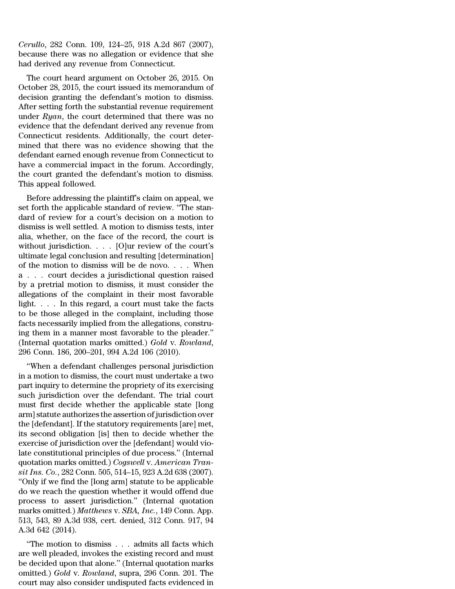*Cerullo*, 282 Conn. 109, 124–25, 918 A.2d 867 (2007), because there was no allegation or evidence that she had derived any revenue from Connecticut.

The court heard argument on October 26, 2015. On October 28, 2015, the court issued its memorandum of decision granting the defendant's motion to dismiss. After setting forth the substantial revenue requirement under *Ryan*, the court determined that there was no evidence that the defendant derived any revenue from Connecticut residents. Additionally, the court determined that there was no evidence showing that the defendant earned enough revenue from Connecticut to have a commercial impact in the forum. Accordingly, the court granted the defendant's motion to dismiss. This appeal followed.

Before addressing the plaintiff's claim on appeal, we set forth the applicable standard of review. ''The standard of review for a court's decision on a motion to dismiss is well settled. A motion to dismiss tests, inter alia, whether, on the face of the record, the court is without jurisdiction. . . . [O]ur review of the court's ultimate legal conclusion and resulting [determination] of the motion to dismiss will be de novo. . . . When a . . . court decides a jurisdictional question raised by a pretrial motion to dismiss, it must consider the allegations of the complaint in their most favorable light. . . . In this regard, a court must take the facts to be those alleged in the complaint, including those facts necessarily implied from the allegations, construing them in a manner most favorable to the pleader.'' (Internal quotation marks omitted.) *Gold* v. *Rowland*, 296 Conn. 186, 200–201, 994 A.2d 106 (2010).

''When a defendant challenges personal jurisdiction in a motion to dismiss, the court must undertake a two part inquiry to determine the propriety of its exercising such jurisdiction over the defendant. The trial court must first decide whether the applicable state [long arm] statute authorizes the assertion of jurisdiction over the [defendant]. If the statutory requirements [are] met, its second obligation [is] then to decide whether the exercise of jurisdiction over the [defendant] would violate constitutional principles of due process.'' (Internal quotation marks omitted.) *Cogswell* v. *American Transit Ins. Co.*, 282 Conn. 505, 514–15, 923 A.2d 638 (2007). ''Only if we find the [long arm] statute to be applicable do we reach the question whether it would offend due process to assert jurisdiction.'' (Internal quotation marks omitted.) *Matthews* v. *SBA, Inc.*, 149 Conn. App. 513, 543, 89 A.3d 938, cert. denied, 312 Conn. 917, 94 A.3d 642 (2014).

''The motion to dismiss . . . admits all facts which are well pleaded, invokes the existing record and must be decided upon that alone.'' (Internal quotation marks omitted.) *Gold* v. *Rowland*, supra, 296 Conn. 201. The court may also consider undisputed facts evidenced in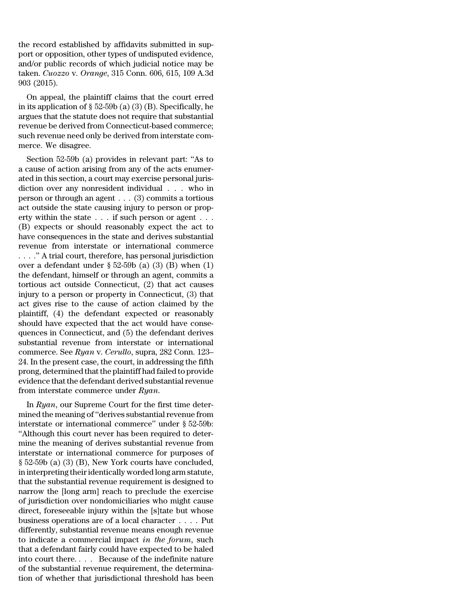the record established by affidavits submitted in support or opposition, other types of undisputed evidence, and/or public records of which judicial notice may be taken. *Cuozzo* v. *Orange*, 315 Conn. 606, 615, 109 A.3d 903 (2015).

On appeal, the plaintiff claims that the court erred in its application of  $\S 52-59b$  (a) (3) (B). Specifically, he argues that the statute does not require that substantial revenue be derived from Connecticut-based commerce; such revenue need only be derived from interstate commerce. We disagree.

Section 52-59b (a) provides in relevant part: ''As to a cause of action arising from any of the acts enumerated in this section, a court may exercise personal jurisdiction over any nonresident individual . . . who in person or through an agent . . . (3) commits a tortious act outside the state causing injury to person or property within the state . . . if such person or agent . . . (B) expects or should reasonably expect the act to have consequences in the state and derives substantial revenue from interstate or international commerce . . . .'' A trial court, therefore, has personal jurisdiction over a defendant under  $\S 52-59b$  (a) (3) (B) when (1) the defendant, himself or through an agent, commits a tortious act outside Connecticut, (2) that act causes injury to a person or property in Connecticut, (3) that act gives rise to the cause of action claimed by the plaintiff, (4) the defendant expected or reasonably should have expected that the act would have consequences in Connecticut, and (5) the defendant derives substantial revenue from interstate or international commerce. See *Ryan* v. *Cerullo*, supra, 282 Conn. 123– 24. In the present case, the court, in addressing the fifth prong, determined that the plaintiff had failed to provide evidence that the defendant derived substantial revenue from interstate commerce under *Ryan*.

In *Ryan*, our Supreme Court for the first time determined the meaning of "derives substantial revenue from interstate or international commerce'' under § 52-59b: ''Although this court never has been required to determine the meaning of derives substantial revenue from interstate or international commerce for purposes of § 52-59b (a) (3) (B), New York courts have concluded, in interpreting their identically worded long arm statute, that the substantial revenue requirement is designed to narrow the [long arm] reach to preclude the exercise of jurisdiction over nondomiciliaries who might cause direct, foreseeable injury within the [s]tate but whose business operations are of a local character . . . . Put differently, substantial revenue means enough revenue to indicate a commercial impact *in the forum*, such that a defendant fairly could have expected to be haled into court there. *. . .* Because of the indefinite nature of the substantial revenue requirement, the determination of whether that jurisdictional threshold has been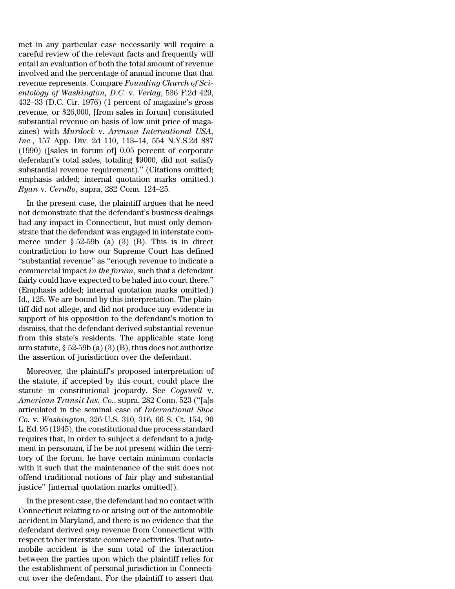met in any particular case necessarily will require a careful review of the relevant facts and frequently will entail an evaluation of both the total amount of revenue involved and the percentage of annual income that that revenue represents. Compare *Founding Church of Scientology of Washington, D.C.* v. *Verlag*, 536 F.2d 429, 432–33 (D.C. Cir. 1976) (1 percent of magazine's gross revenue, or \$26,000, [from sales in forum] constituted substantial revenue on basis of low unit price of magazines) with *Murdock* v. *Arenson International USA, Inc.*, 157 App. Div. 2d 110, 113–14, 554 N.Y.S.2d 887 (1990) ([sales in forum of] 0.05 percent of corporate defendant's total sales, totaling \$9000, did not satisfy substantial revenue requirement)." (Citations omitted; emphasis added; internal quotation marks omitted.) *Ryan* v. *Cerullo*, supra, 282 Conn. 124–25.

In the present case, the plaintiff argues that he need not demonstrate that the defendant's business dealings had any impact in Connecticut, but must only demonstrate that the defendant was engaged in interstate commerce under  $\S 52-59b$  (a) (3) (B). This is in direct contradiction to how our Supreme Court has defined ''substantial revenue'' as ''enough revenue to indicate a commercial impact *in the forum*, such that a defendant fairly could have expected to be haled into court there.'' (Emphasis added; internal quotation marks omitted.) Id., 125. We are bound by this interpretation. The plaintiff did not allege, and did not produce any evidence in support of his opposition to the defendant's motion to dismiss, that the defendant derived substantial revenue from this state's residents. The applicable state long arm statute,  $\S 52-59b(a)(3)(B)$ , thus does not authorize the assertion of jurisdiction over the defendant.

Moreover, the plaintiff's proposed interpretation of the statute, if accepted by this court, could place the statute in constitutional jeopardy. See *Cogswell* v. *American Transit Ins. Co.*, supra, 282 Conn. 523 (''[a]s articulated in the seminal case of *International Shoe Co.* v. *Washington*, 326 U.S. 310, 316, 66 S. Ct. 154, 90 L. Ed. 95 (1945), the constitutional due process standard requires that, in order to subject a defendant to a judgment in personam, if he be not present within the territory of the forum, he have certain minimum contacts with it such that the maintenance of the suit does not offend traditional notions of fair play and substantial justice'' [internal quotation marks omitted]).

In the present case, the defendant had no contact with Connecticut relating to or arising out of the automobile accident in Maryland, and there is no evidence that the defendant derived *any* revenue from Connecticut with respect to her interstate commerce activities. That automobile accident is the sum total of the interaction between the parties upon which the plaintiff relies for the establishment of personal jurisdiction in Connecticut over the defendant. For the plaintiff to assert that